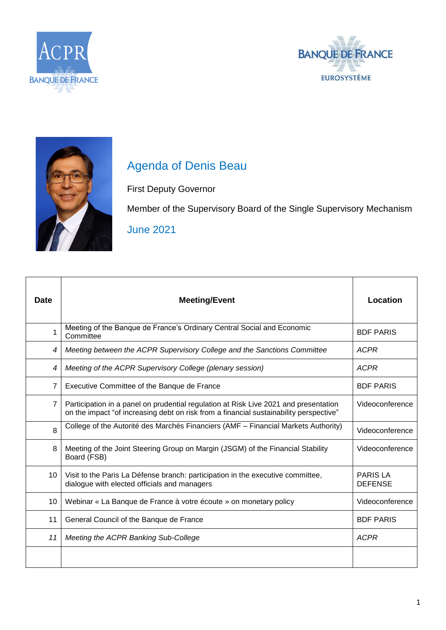





## Agenda of Denis Beau

First Deputy Governor

Member of the Supervisory Board of the Single Supervisory Mechanism June 2021

| <b>Date</b>    | <b>Meeting/Event</b>                                                                                                                                                           | Location                          |
|----------------|--------------------------------------------------------------------------------------------------------------------------------------------------------------------------------|-----------------------------------|
|                | Meeting of the Banque de France's Ordinary Central Social and Economic<br>Committee                                                                                            | <b>BDF PARIS</b>                  |
| 4              | Meeting between the ACPR Supervisory College and the Sanctions Committee                                                                                                       | <b>ACPR</b>                       |
| 4              | Meeting of the ACPR Supervisory College (plenary session)                                                                                                                      | <b>ACPR</b>                       |
| $\overline{7}$ | Executive Committee of the Banque de France                                                                                                                                    | <b>BDF PARIS</b>                  |
| $\overline{7}$ | Participation in a panel on prudential regulation at Risk Live 2021 and presentation<br>on the impact "of increasing debt on risk from a financial sustainability perspective" | Videoconference                   |
| 8              | College of the Autorité des Marchés Financiers (AMF - Financial Markets Authority)                                                                                             | Videoconference                   |
| 8              | Meeting of the Joint Steering Group on Margin (JSGM) of the Financial Stability<br>Board (FSB)                                                                                 | Videoconference                   |
| 10             | Visit to the Paris La Défense branch: participation in the executive committee,<br>dialogue with elected officials and managers                                                | <b>PARIS LA</b><br><b>DEFENSE</b> |
| 10             | Webinar « La Banque de France à votre écoute » on monetary policy                                                                                                              | Videoconference                   |
| 11             | General Council of the Banque de France                                                                                                                                        | <b>BDF PARIS</b>                  |
| 11             | Meeting the ACPR Banking Sub-College                                                                                                                                           | <b>ACPR</b>                       |
|                |                                                                                                                                                                                |                                   |